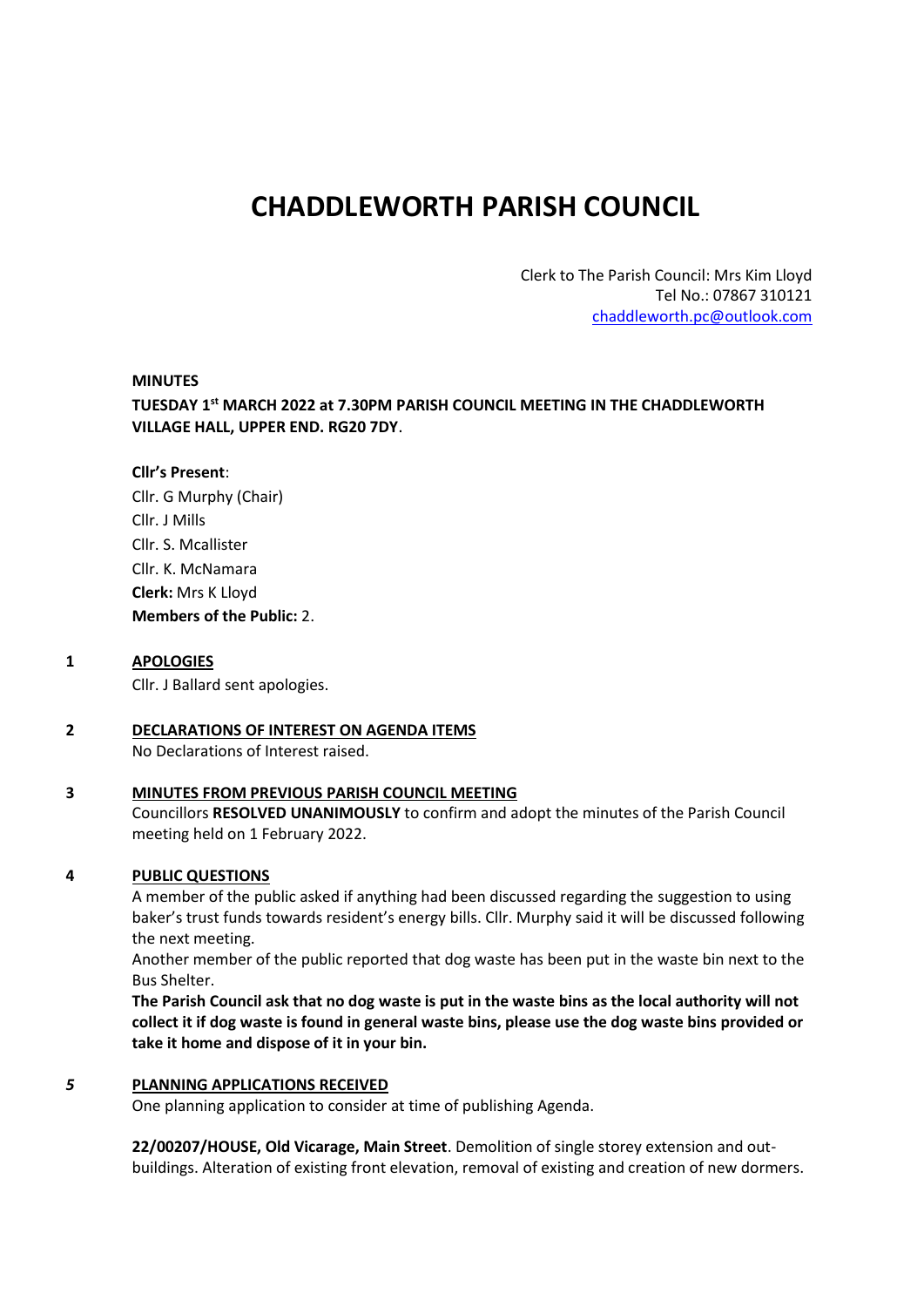# **CHADDLEWORTH PARISH COUNCIL**

Clerk to The Parish Council: Mrs Kim Lloyd Tel No.: 07867 310121 [chaddleworth.pc@outlook.com](mailto:chaddleworth.pc@outlook.com)

#### **MINUTES**

**TUESDAY 1 st MARCH 2022 at 7.30PM PARISH COUNCIL MEETING IN THE CHADDLEWORTH VILLAGE HALL, UPPER END. RG20 7DY**.

#### **Cllr's Present**:

Cllr. G Murphy (Chair) Cllr. J Mills Cllr. S. Mcallister Cllr. K. McNamara **Clerk:** Mrs K Lloyd **Members of the Public:** 2.

#### **1 APOLOGIES**

Cllr. J Ballard sent apologies.

## **2 DECLARATIONS OF INTEREST ON AGENDA ITEMS**

No Declarations of Interest raised.

#### **3 MINUTES FROM PREVIOUS PARISH COUNCIL MEETING**

Councillors **RESOLVED UNANIMOUSLY** to confirm and adopt the minutes of the Parish Council meeting held on 1 February 2022.

#### **4 PUBLIC QUESTIONS**

A member of the public asked if anything had been discussed regarding the suggestion to using baker's trust funds towards resident's energy bills. Cllr. Murphy said it will be discussed following the next meeting.

Another member of the public reported that dog waste has been put in the waste bin next to the Bus Shelter.

**The Parish Council ask that no dog waste is put in the waste bins as the local authority will not collect it if dog waste is found in general waste bins, please use the dog waste bins provided or take it home and dispose of it in your bin.**

#### *5* **PLANNING APPLICATIONS RECEIVED**

One planning application to consider at time of publishing Agenda.

**22/00207/HOUSE, Old Vicarage, Main Street**. Demolition of single storey extension and outbuildings. Alteration of existing front elevation, removal of existing and creation of new dormers.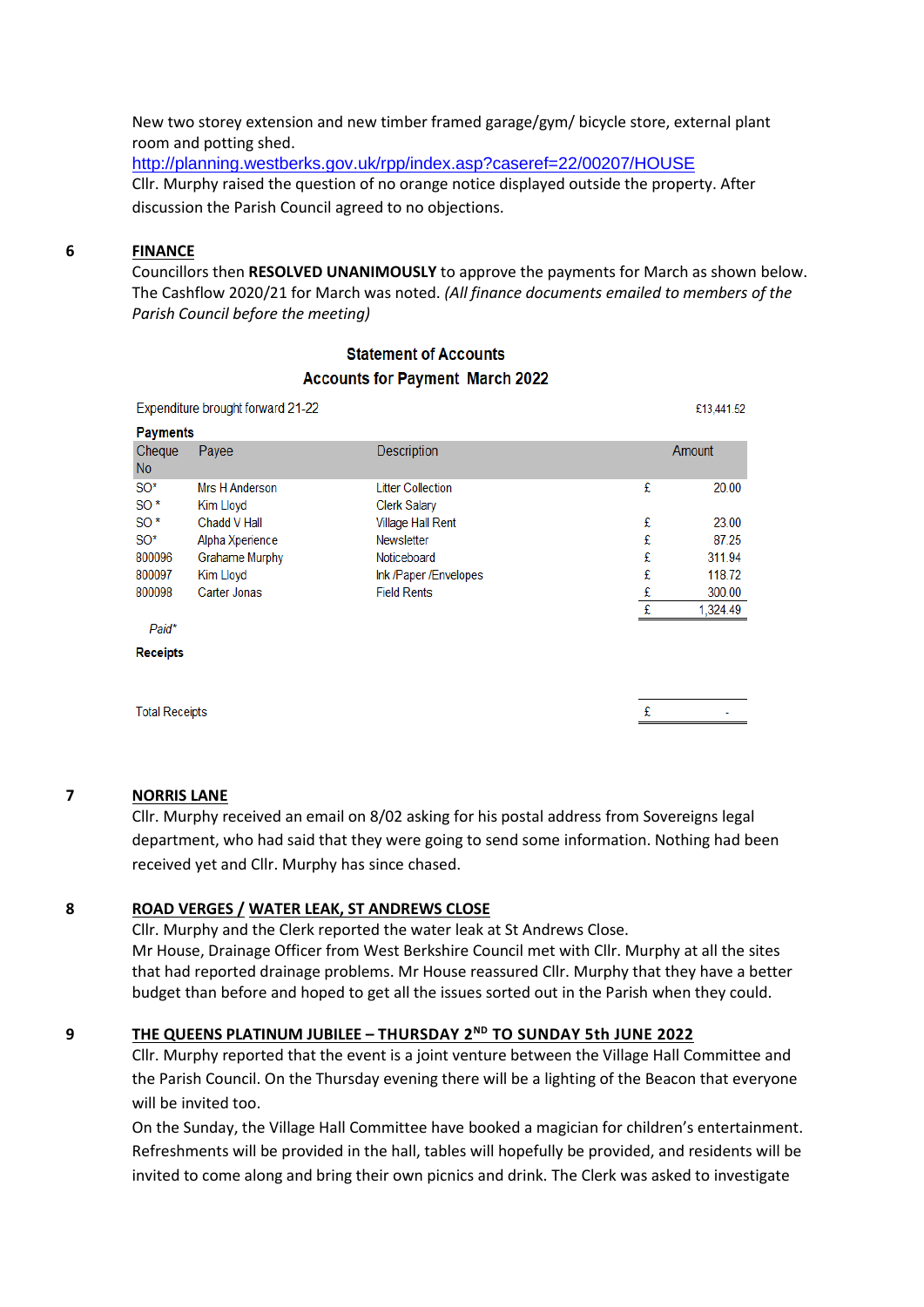New two storey extension and new timber framed garage/gym/ bicycle store, external plant room and potting shed.

<http://planning.westberks.gov.uk/rpp/index.asp?caseref=22/00207/HOUSE> Cllr. Murphy raised the question of no orange notice displayed outside the property. After discussion the Parish Council agreed to no objections.

#### **6 FINANCE**

Councillors then **RESOLVED UNANIMOUSLY** to approve the payments for March as shown below. The Cashflow 2020/21 for March was noted. *(All finance documents emailed to members of the Parish Council before the meeting)*

# **Statement of Accounts Accounts for Payment March 2022**

| Expenditure brought forward 21-22 |                             |                                                 |   | £13,441.52    |
|-----------------------------------|-----------------------------|-------------------------------------------------|---|---------------|
| <b>Payments</b>                   |                             |                                                 |   |               |
| Cheque<br><b>No</b>               | Payee                       | Description                                     |   | <b>Amount</b> |
| $SO^*$<br>$SO^*$                  | Mrs H Anderson<br>Kim Lloyd | <b>Litter Collection</b><br><b>Clerk Salary</b> | £ | 20.00         |
| $SO^*$                            | Chadd V Hall                | <b>Village Hall Rent</b>                        | £ | 23.00         |
| SO*                               | Alpha Xperience             | <b>Newsletter</b>                               | £ | 87.25         |
| 800096                            | Grahame Murphy              | Noticeboard                                     | £ | 311.94        |
| 800097                            | Kim Lloyd                   | Ink /Paper /Envelopes                           | £ | 118.72        |
| 800098                            | Carter Jonas                | <b>Field Rents</b>                              | £ | 300.00        |
|                                   |                             |                                                 | £ | 1,324.49      |
| Paid*                             |                             |                                                 |   |               |
| <b>Receipts</b>                   |                             |                                                 |   |               |
|                                   |                             |                                                 |   |               |
| <b>Total Receipts</b>             |                             |                                                 |   |               |

#### **7 NORRIS LANE**

Cllr. Murphy received an email on 8/02 asking for his postal address from Sovereigns legal department, who had said that they were going to send some information. Nothing had been received yet and Cllr. Murphy has since chased.

#### **8 ROAD VERGES / WATER LEAK, ST ANDREWS CLOSE**

Cllr. Murphy and the Clerk reported the water leak at St Andrews Close. Mr House, Drainage Officer from West Berkshire Council met with Cllr. Murphy at all the sites that had reported drainage problems. Mr House reassured Cllr. Murphy that they have a better budget than before and hoped to get all the issues sorted out in the Parish when they could.

## **9 THE QUEENS PLATINUM JUBILEE – THURSDAY 2 ND TO SUNDAY 5th JUNE 2022**

Cllr. Murphy reported that the event is a joint venture between the Village Hall Committee and the Parish Council. On the Thursday evening there will be a lighting of the Beacon that everyone will be invited too.

On the Sunday, the Village Hall Committee have booked a magician for children's entertainment. Refreshments will be provided in the hall, tables will hopefully be provided, and residents will be invited to come along and bring their own picnics and drink. The Clerk was asked to investigate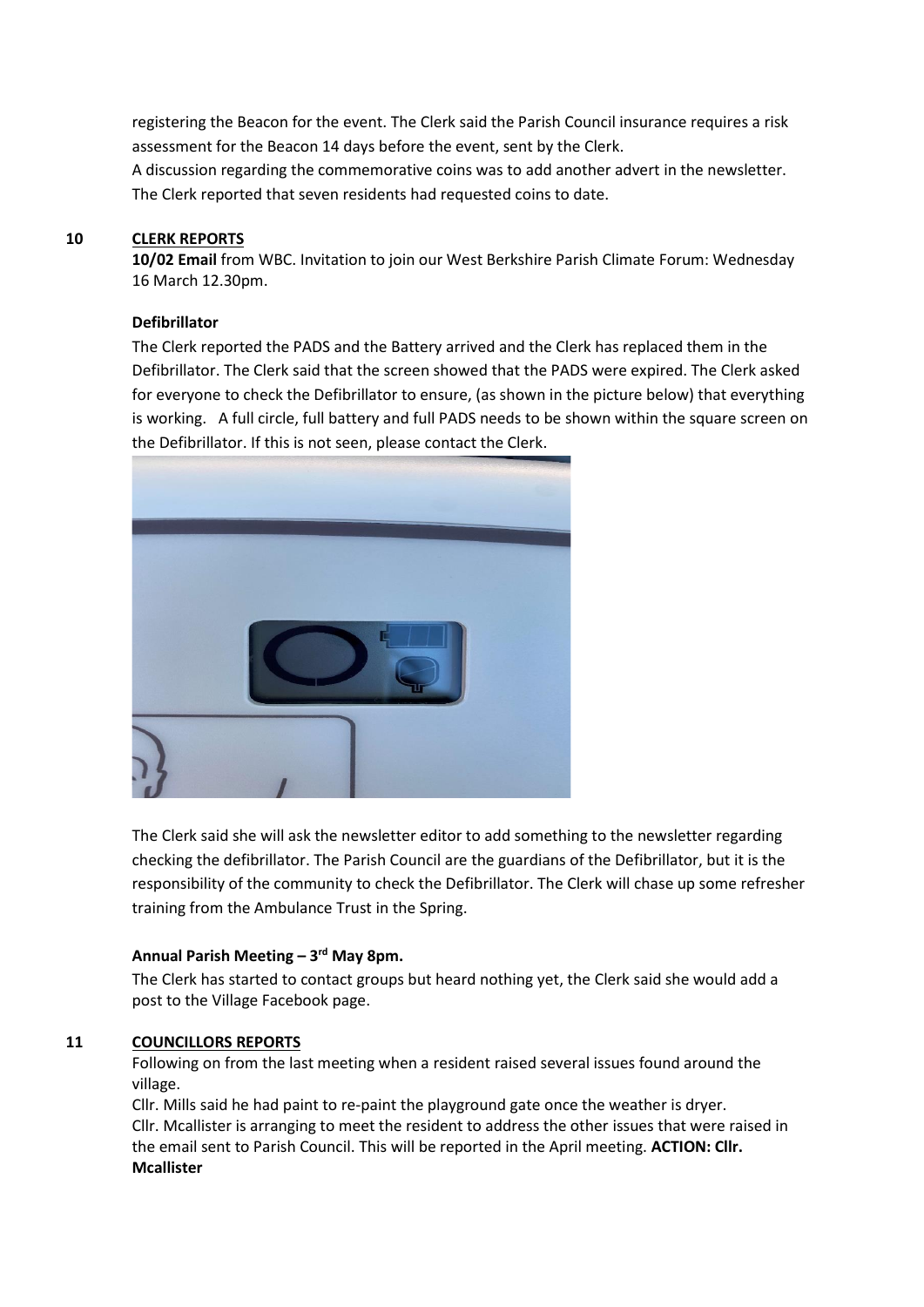registering the Beacon for the event. The Clerk said the Parish Council insurance requires a risk assessment for the Beacon 14 days before the event, sent by the Clerk. A discussion regarding the commemorative coins was to add another advert in the newsletter. The Clerk reported that seven residents had requested coins to date.

## **10 CLERK REPORTS**

**10/02 Email** from WBC. Invitation to join our West Berkshire Parish Climate Forum: Wednesday 16 March 12.30pm.

#### **Defibrillator**

The Clerk reported the PADS and the Battery arrived and the Clerk has replaced them in the Defibrillator. The Clerk said that the screen showed that the PADS were expired. The Clerk asked for everyone to check the Defibrillator to ensure, (as shown in the picture below) that everything is working. A full circle, full battery and full PADS needs to be shown within the square screen on the Defibrillator. If this is not seen, please contact the Clerk.



The Clerk said she will ask the newsletter editor to add something to the newsletter regarding checking the defibrillator. The Parish Council are the guardians of the Defibrillator, but it is the responsibility of the community to check the Defibrillator. The Clerk will chase up some refresher training from the Ambulance Trust in the Spring.

#### **Annual Parish Meeting – 3 rd May 8pm.**

The Clerk has started to contact groups but heard nothing yet, the Clerk said she would add a post to the Village Facebook page.

# **11 COUNCILLORS REPORTS**

Following on from the last meeting when a resident raised several issues found around the village.

Cllr. Mills said he had paint to re-paint the playground gate once the weather is dryer. Cllr. Mcallister is arranging to meet the resident to address the other issues that were raised in the email sent to Parish Council. This will be reported in the April meeting. **ACTION: Cllr. Mcallister**